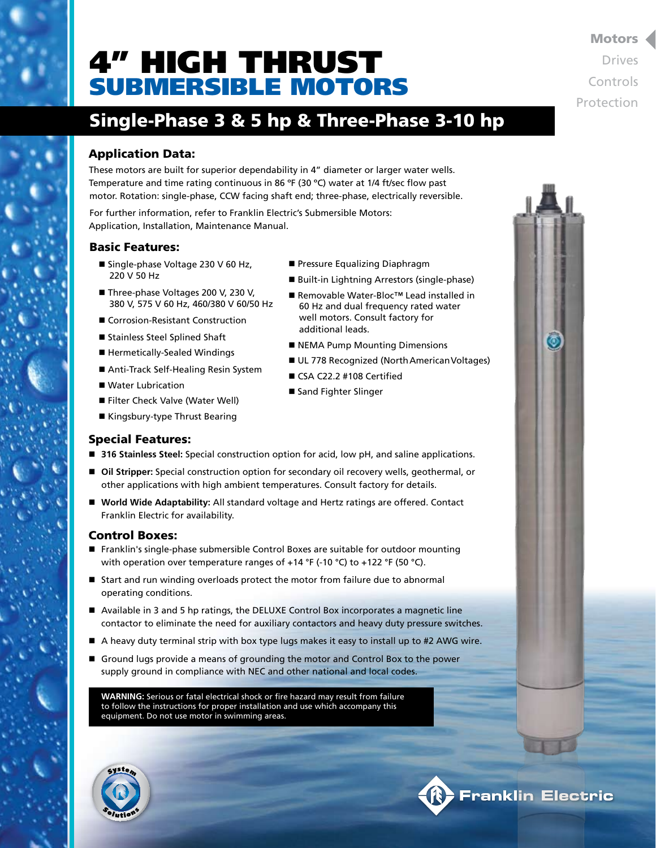# 4" HIGH THRUST SUBMERSIBLE MOTORS

## Single-Phase 3 & 5 hp & Three-Phase 3-10 hp

### Application Data:

These motors are built for superior dependability in 4" diameter or larger water wells. Temperature and time rating continuous in 86 ºF (30 ºC) water at 1/4 ft/sec flow past motor. Rotation: single-phase, CCW facing shaft end; three-phase, electrically reversible.

For further information, refer to Franklin Electric's Submersible Motors: Application, Installation, Maintenance Manual.

### Basic Features:

- Single-phase Voltage 230 V 60 Hz, 220 V 50 Hz
- Three-phase Voltages 200 V, 230 V, 380 V, 575 V 60 Hz, 460/380 V 60/50 Hz
- Corrosion-Resistant Construction
- Stainless Steel Splined Shaft
- Hermetically-Sealed Windings
- Anti-Track Self-Healing Resin System
- Water Lubrication
- Filter Check Valve (Water Well)
- Kingsbury-type Thrust Bearing
- Pressure Equalizing Diaphragm
- Built-in Lightning Arrestors (single-phase)
- Removable Water-Bloc<sup>™</sup> Lead installed in 60 Hz and dual frequency rated water well motors. Consult factory for additional leads.
- NEMA Pump Mounting Dimensions
- UL 778 Recognized (North American Voltages)
- CSA C22.2 #108 Certified
- Sand Fighter Slinger

### Special Features:

- 316 Stainless Steel: Special construction option for acid, low pH, and saline applications.
- Oil Stripper: Special construction option for secondary oil recovery wells, geothermal, or other applications with high ambient temperatures. Consult factory for details.
- World Wide Adaptability: All standard voltage and Hertz ratings are offered. Contact Franklin Electric for availability.

#### Control Boxes:

- Franklin's single-phase submersible Control Boxes are suitable for outdoor mounting with operation over temperature ranges of  $+14$  °F (-10 °C) to  $+122$  °F (50 °C).
- Start and run winding overloads protect the motor from failure due to abnormal operating conditions.
- $\blacksquare$  Available in 3 and 5 hp ratings, the DELUXE Control Box incorporates a magnetic line contactor to eliminate the need for auxiliary contactors and heavy duty pressure switches.
- A heavy duty terminal strip with box type lugs makes it easy to install up to #2 AWG wire.
- **n** Ground lugs provide a means of grounding the motor and Control Box to the power supply ground in compliance with NEC and other national and local codes.

**WARNING:** Serious or fatal electrical shock or fire hazard may result from failure to follow the instructions for proper installation and use which accompany this equipment. Do not use motor in swimming areas.





**R. Franklin Electric** 

#### Motors

Drives Controls Protection